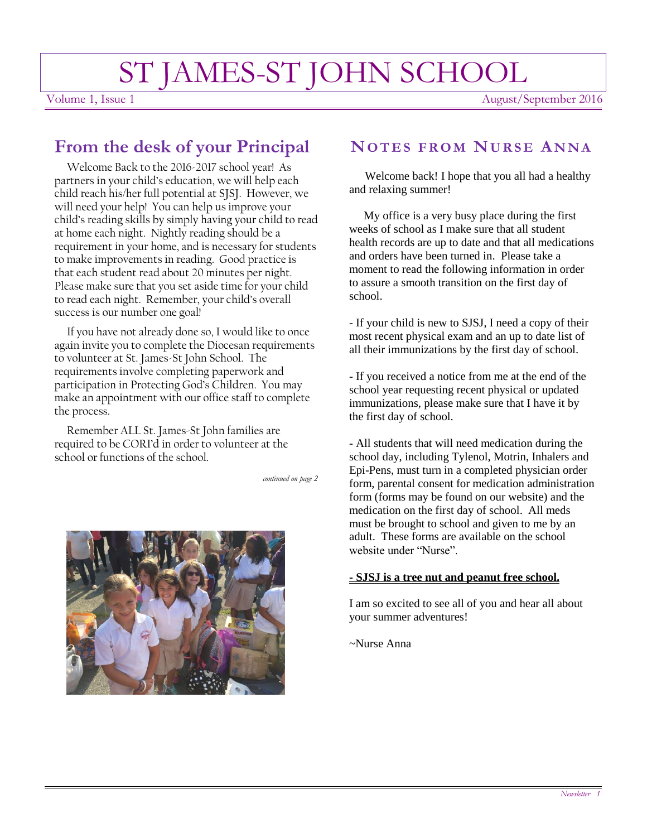# ST JAMES-ST JOHN SCHOOL

Volume 1, Issue 1 August/September 2016

# **From the desk of your Principal**

 Welcome Back to the 2016-2017 school year! As partners in your child's education, we will help each child reach his/her full potential at SJSJ. However, we will need your help! You can help us improve your child's reading skills by simply having your child to read at home each night. Nightly reading should be a requirement in your home, and is necessary for students to make improvements in reading. Good practice is that each student read about 20 minutes per night. Please make sure that you set aside time for your child to read each night. Remember, your child's overall success is our number one goal!

 If you have not already done so, I would like to once again invite you to complete the Diocesan requirements to volunteer at St. James-St John School. The requirements involve completing paperwork and participation in Protecting God's Children. You may make an appointment with our office staff to complete the process.

 Remember ALL St. James-St John families are required to be CORI'd in order to volunteer at the school or functions of the school.

*continued on page 2*



## **NO T E S F R O M NU R S E A NNA**

 Welcome back! I hope that you all had a healthy and relaxing summer!

 My office is a very busy place during the first weeks of school as I make sure that all student health records are up to date and that all medications and orders have been turned in. Please take a moment to read the following information in order to assure a smooth transition on the first day of school.

- If your child is new to SJSJ, I need a copy of their most recent physical exam and an up to date list of all their immunizations by the first day of school.

- If you received a notice from me at the end of the school year requesting recent physical or updated immunizations, please make sure that I have it by the first day of school.

- All students that will need medication during the school day, including Tylenol, Motrin, Inhalers and Epi-Pens, must turn in a completed physician order form, parental consent for medication administration form (forms may be found on our website) and the medication on the first day of school. All meds must be brought to school and given to me by an adult. These forms are available on the school website under "Nurse".

#### **- SJSJ is a tree nut and peanut free school.**

I am so excited to see all of you and hear all about your summer adventures!

~Nurse Anna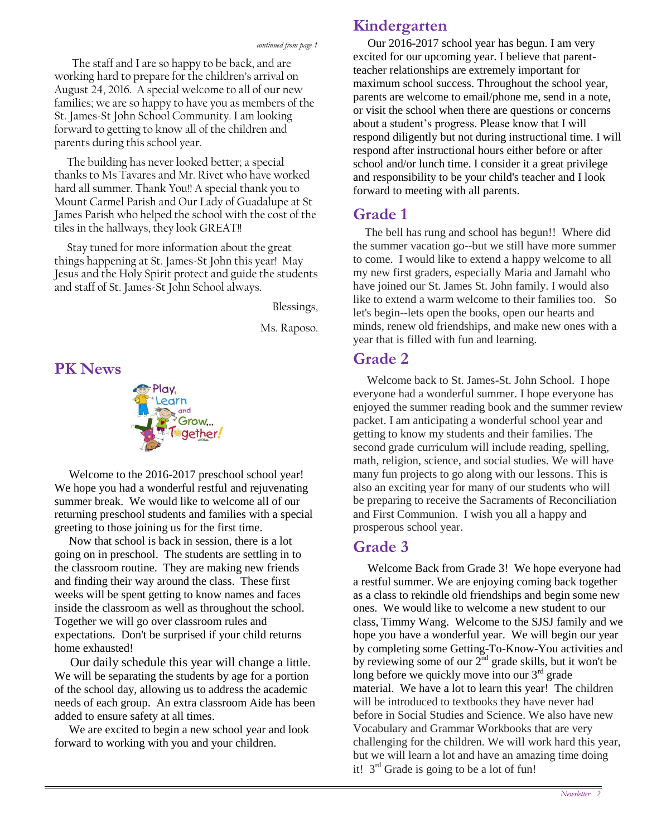The staff and I are so happy to be back, and are working hard to prepare for the children's arrival on August 24, 2016. A special welcome to all of our new families; we are so happy to have you as members of the St. James-St John School Community. I am looking forward to getting to know all of the children and parents during this school year.

 The building has never looked better; a special thanks to Ms Tavares and Mr. Rivet who have worked hard all summer. Thank You!! A special thank you to Mount Carmel Parish and Our Lady of Guadalupe at St James Parish who helped the school with the cost of the tiles in the hallways, they look GREAT!!

 Stay tuned for more information about the great things happening at St. James-St John this year! May Jesus and the Holy Spirit protect and guide the students and staff of St. James-St John School always.

Blessings,

Ms. Raposo.

**PK News**



 Welcome to the 2016-2017 preschool school year! We hope you had a wonderful restful and rejuvenating summer break. We would like to welcome all of our returning preschool students and families with a special greeting to those joining us for the first time.

 Now that school is back in session, there is a lot going on in preschool. The students are settling in to the classroom routine. They are making new friends and finding their way around the class. These first weeks will be spent getting to know names and faces inside the classroom as well as throughout the school. Together we will go over classroom rules and expectations. Don't be surprised if your child returns home exhausted!

 Our daily schedule this year will change a little. We will be separating the students by age for a portion of the school day, allowing us to address the academic needs of each group. An extra classroom Aide has been added to ensure safety at all times.

 We are excited to begin a new school year and look forward to working with you and your children.

## **Kindergarten**

 Our 2016-2017 school year has begun. I am very excited for our upcoming year. I believe that parentteacher relationships are extremely important for maximum school success. Throughout the school year, parents are welcome to email/phone me, send in a note, or visit the school when there are questions or concerns about a student's progress. Please know that I will respond diligently but not during instructional time. I will respond after instructional hours either before or after school and/or lunch time. I consider it a great privilege and responsibility to be your child's teacher and I look forward to meeting with all parents.

## **Grade 1**

 The bell has rung and school has begun!! Where did the summer vacation go--but we still have more summer to come. I would like to extend a happy welcome to all my new first graders, especially Maria and Jamahl who have joined our St. James St. John family. I would also like to extend a warm welcome to their families too. So let's begin--lets open the books, open our hearts and minds, renew old friendships, and make new ones with a year that is filled with fun and learning.

### **Grade 2**

Welcome back to St. James-St. John School. I hope everyone had a wonderful summer. I hope everyone has enjoyed the summer reading book and the summer review packet. I am anticipating a wonderful school year and getting to know my students and their families. The second grade curriculum will include reading, spelling, math, religion, science, and social studies. We will have many fun projects to go along with our lessons. This is also an exciting year for many of our students who will be preparing to receive the Sacraments of Reconciliation and First Communion. I wish you all a happy and prosperous school year.

## **Grade 3**

 Welcome Back from Grade 3! We hope everyone had a restful summer. We are enjoying coming back together as a class to rekindle old friendships and begin some new ones. We would like to welcome a new student to our class, Timmy Wang. Welcome to the SJSJ family and we hope you have a wonderful year. We will begin our year by completing some Getting-To-Know-You activities and by reviewing some of our  $2<sup>nd</sup>$  grade skills, but it won't be long before we quickly move into our 3<sup>rd</sup> grade material. We have a lot to learn this year! The children will be introduced to textbooks they have never had before in Social Studies and Science. We also have new Vocabulary and Grammar Workbooks that are very challenging for the children. We will work hard this year, but we will learn a lot and have an amazing time doing it!  $3<sup>rd</sup>$  Grade is going to be a lot of fun!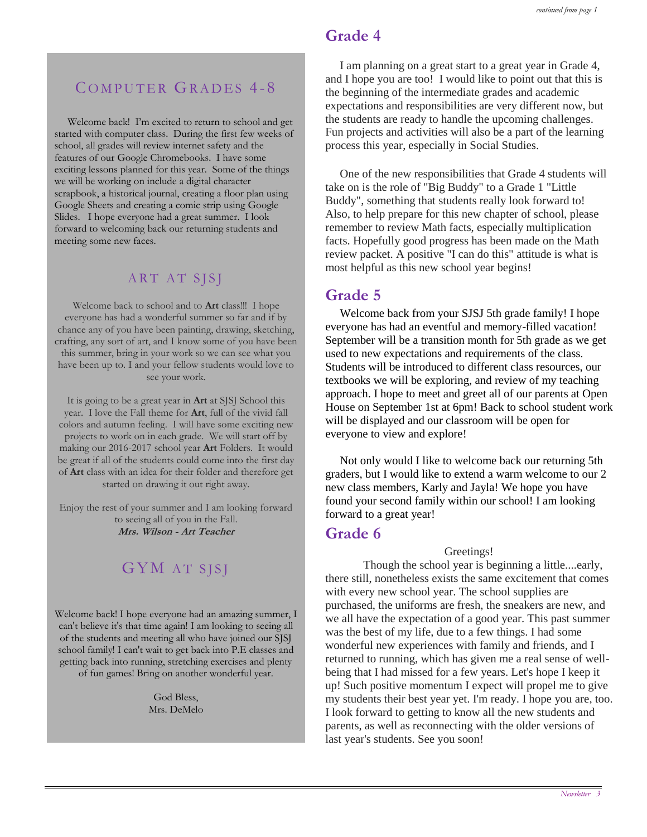## **Grade 4**

COMPUTER GRADES 4-8

 Welcome back! I'm excited to return to school and get started with computer class. During the first few weeks of school, all grades will review internet safety and the features of our Google Chromebooks. I have some exciting lessons planned for this year. Some of the things we will be working on include a digital character scrapbook, a historical journal, creating a floor plan using Google Sheets and creating a comic strip using Google Slides. I hope everyone had a great summer. I look forward to welcoming back our returning students and meeting some new faces.

#### ART AT SJSJ

Welcome back to school and to **Art** class!!! I hope everyone has had a wonderful summer so far and if by chance any of you have been painting, drawing, sketching, crafting, any sort of art, and I know some of you have been this summer, bring in your work so we can see what you have been up to. I and your fellow students would love to see your work.

It is going to be a great year in **Art** at SJSJ School this year. I love the Fall theme for **Art**, full of the vivid fall colors and autumn feeling. I will have some exciting new projects to work on in each grade. We will start off by making our 2016-2017 school year **Art** Folders. It would be great if all of the students could come into the first day of **Art** class with an idea for their folder and therefore get started on drawing it out right away.

Enjoy the rest of your summer and I am looking forward to seeing all of you in the Fall. **Mrs. Wilson - Art Teacher**

## GYM AT SISI

Welcome back! I hope everyone had an amazing summer, I can't believe it's that time again! I am looking to seeing all of the students and meeting all who have joined our SJSJ school family! I can't wait to get back into P.E classes and getting back into running, stretching exercises and plenty of fun games! Bring on another wonderful year.

> God Bless, Mrs. DeMelo

 I am planning on a great start to a great year in Grade 4, and I hope you are too! I would like to point out that this is the beginning of the intermediate grades and academic expectations and responsibilities are very different now, but the students are ready to handle the upcoming challenges. Fun projects and activities will also be a part of the learning process this year, especially in Social Studies.

 One of the new responsibilities that Grade 4 students will take on is the role of "Big Buddy" to a Grade 1 "Little Buddy", something that students really look forward to! Also, to help prepare for this new chapter of school, please remember to review Math facts, especially multiplication facts. Hopefully good progress has been made on the Math review packet. A positive "I can do this" attitude is what is most helpful as this new school year begins!

## **Grade 5**

 Welcome back from your SJSJ 5th grade family! I hope everyone has had an eventful and memory-filled vacation! September will be a transition month for 5th grade as we get used to new expectations and requirements of the class. Students will be introduced to different class resources, our textbooks we will be exploring, and review of my teaching approach. I hope to meet and greet all of our parents at Open House on September 1st at 6pm! Back to school student work will be displayed and our classroom will be open for everyone to view and explore!

 Not only would I like to welcome back our returning 5th graders, but I would like to extend a warm welcome to our 2 new class members, Karly and Jayla! We hope you have found your second family within our school! I am looking forward to a great year!

#### **Grade 6**

Greetings!

 Though the school year is beginning a little....early, there still, nonetheless exists the same excitement that comes with every new school year. The school supplies are purchased, the uniforms are fresh, the sneakers are new, and we all have the expectation of a good year. This past summer was the best of my life, due to a few things. I had some wonderful new experiences with family and friends, and I returned to running, which has given me a real sense of wellbeing that I had missed for a few years. Let's hope I keep it up! Such positive momentum I expect will propel me to give my students their best year yet. I'm ready. I hope you are, too. I look forward to getting to know all the new students and parents, as well as reconnecting with the older versions of last year's students. See you soon!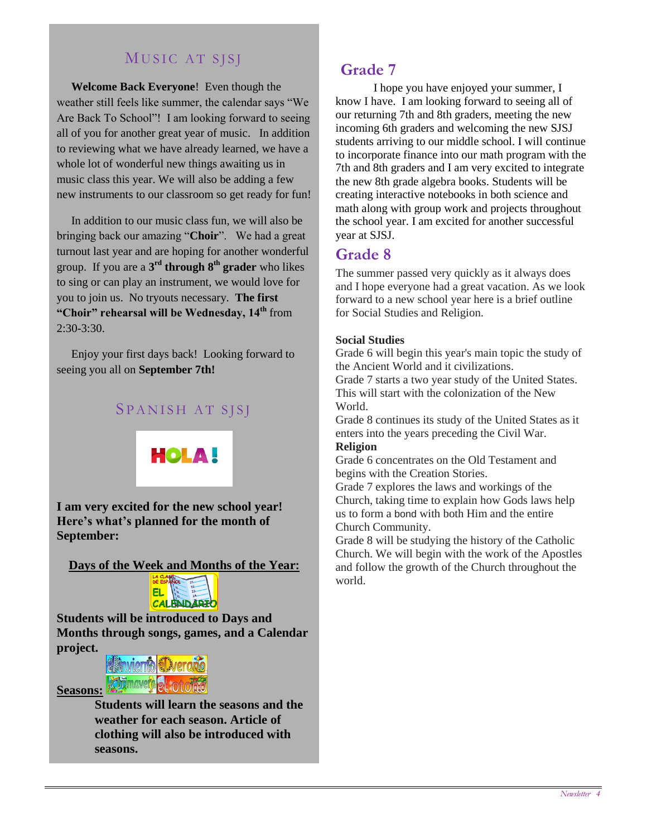## MUSIC AT SISI

 **Welcome Back Everyone**! Even though the weather still feels like summer, the calendar says "We Are Back To School"! I am looking forward to seeing all of you for another great year of music. In addition to reviewing what we have already learned, we have a whole lot of wonderful new things awaiting us in music class this year. We will also be adding a few new instruments to our classroom so get ready for fun!

 In addition to our music class fun, we will also be bringing back our amazing "**Choir**". We had a great turnout last year and are hoping for another wonderful group. If you are a **3 rd through 8th grader** who likes to sing or can play an instrument, we would love for you to join us. No tryouts necessary. **The first "Choir" rehearsal will be Wednesday, 14th** from  $2:30-3:30$ .

 Enjoy your first days back! Looking forward to seeing you all on **September 7th!**

#### SPANISH AT SJSJ



**I am very excited for the new school year! Here's what's planned for the month of September:**

**Days of the Week and Months of the Year:**



**Students will be introduced to Days and Months through songs, games, and a Calendar project.**



**Seasons: Students will learn the seasons and the weather for each season. Article of clothing will also be introduced with seasons.**

#### **Grade 7**

I hope you have enjoyed your summer, I know I have. I am looking forward to seeing all of our returning 7th and 8th graders, meeting the new incoming 6th graders and welcoming the new SJSJ students arriving to our middle school. I will continue to incorporate finance into our math program with the 7th and 8th graders and I am very excited to integrate the new 8th grade algebra books. Students will be creating interactive notebooks in both science and math along with group work and projects throughout the school year. I am excited for another successful year at SJSJ.

#### **Grade 8**

The summer passed very quickly as it always does and I hope everyone had a great vacation. As we look forward to a new school year here is a brief outline for Social Studies and Religion.

#### **Social Studies**

Grade 6 will begin this year's main topic the study of the Ancient World and it civilizations.

Grade 7 starts a two year study of the United States. This will start with the colonization of the New World.

Grade 8 continues its study of the United States as it enters into the years preceding the Civil War. **Religion**

Grade 6 concentrates on the Old Testament and begins with the Creation Stories.

Grade 7 explores the laws and workings of the Church, taking time to explain how Gods laws help us to form a bond with both Him and the entire Church Community.

Grade 8 will be studying the history of the Catholic Church. We will begin with the work of the Apostles and follow the growth of the Church throughout the world.